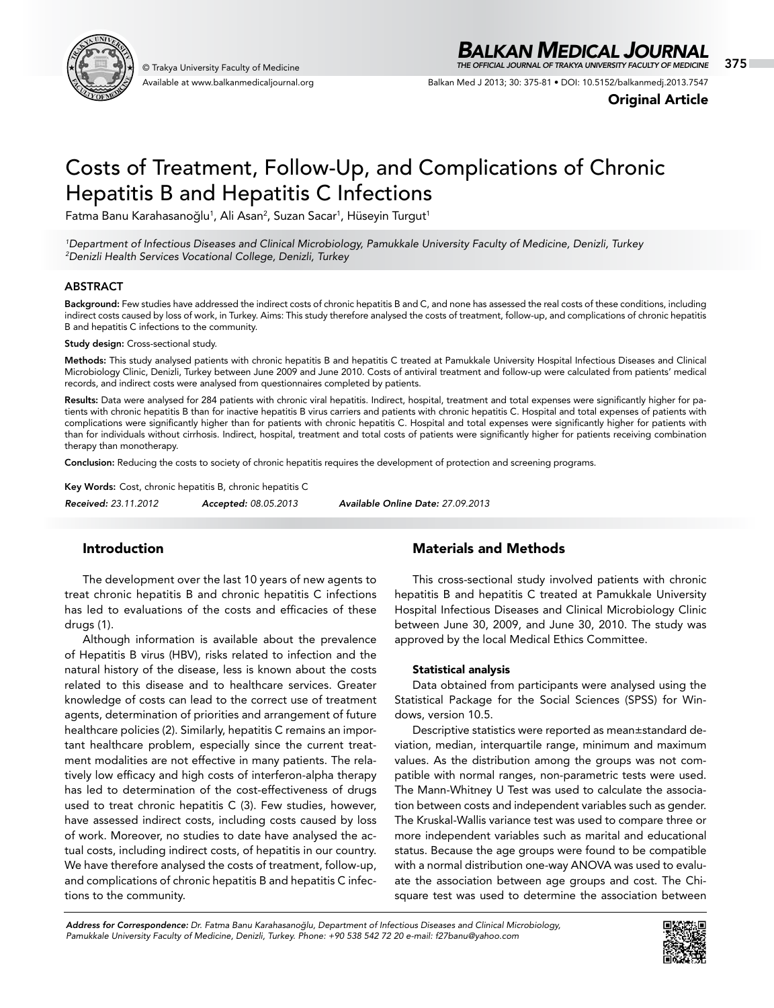

Available at www.balkanmedicaljournal.org

## *BALKAN MEDICAL JOURNAL*

© Trakya University Faculty of Medicine 375 *THE OFFICIAL JOURNAL OF TRAKYA UNIVERSITY FACULTY OF MEDICINE*

Balkan Med J 2013; 30: 375-81 • DOI: 10.5152/balkanmedj.2013.7547

Original Article

# Costs of Treatment, Follow-Up, and Complications of Chronic Hepatitis B and Hepatitis C Infections

Fatma Banu Karahasanoğlu<sup>1</sup>, Ali Asan<sup>2</sup>, Suzan Sacar<sup>1</sup>, Hüseyin Turgut<sup>1</sup>

*1 Department of Infectious Diseases and Clinical Microbiology, Pamukkale University Faculty of Medicine, Denizli, Turkey 2 Denizli Health Services Vocational College, Denizli, Turkey*

#### ABSTRACT

Background: Few studies have addressed the indirect costs of chronic hepatitis B and C, and none has assessed the real costs of these conditions, including indirect costs caused by loss of work, in Turkey. Aims: This study therefore analysed the costs of treatment, follow-up, and complications of chronic hepatitis B and hepatitis C infections to the community.

Study design: Cross-sectional study.

Methods: This study analysed patients with chronic hepatitis B and hepatitis C treated at Pamukkale University Hospital Infectious Diseases and Clinical Microbiology Clinic, Denizli, Turkey between June 2009 and June 2010. Costs of antiviral treatment and follow-up were calculated from patients' medical records, and indirect costs were analysed from questionnaires completed by patients.

Results: Data were analysed for 284 patients with chronic viral hepatitis. Indirect, hospital, treatment and total expenses were significantly higher for patients with chronic hepatitis B than for inactive hepatitis B virus carriers and patients with chronic hepatitis C. Hospital and total expenses of patients with complications were significantly higher than for patients with chronic hepatitis C. Hospital and total expenses were significantly higher for patients with than for individuals without cirrhosis. Indirect, hospital, treatment and total costs of patients were significantly higher for patients receiving combination therapy than monotherapy.

Conclusion: Reducing the costs to society of chronic hepatitis requires the development of protection and screening programs.

Key Words: Cost, chronic hepatitis B, chronic hepatitis C

*Received: 23.11.2012 Accepted: 08.05.2013 Available Online Date: 27.09.2013*

## Introduction

The development over the last 10 years of new agents to treat chronic hepatitis B and chronic hepatitis C infections has led to evaluations of the costs and efficacies of these drugs (1).

Although information is available about the prevalence of Hepatitis B virus (HBV), risks related to infection and the natural history of the disease, less is known about the costs related to this disease and to healthcare services. Greater knowledge of costs can lead to the correct use of treatment agents, determination of priorities and arrangement of future healthcare policies (2). Similarly, hepatitis C remains an important healthcare problem, especially since the current treatment modalities are not effective in many patients. The relatively low efficacy and high costs of interferon-alpha therapy has led to determination of the cost-effectiveness of drugs used to treat chronic hepatitis C (3). Few studies, however, have assessed indirect costs, including costs caused by loss of work. Moreover, no studies to date have analysed the actual costs, including indirect costs, of hepatitis in our country. We have therefore analysed the costs of treatment, follow-up, and complications of chronic hepatitis B and hepatitis C infections to the community.

## Materials and Methods

This cross-sectional study involved patients with chronic hepatitis B and hepatitis C treated at Pamukkale University Hospital Infectious Diseases and Clinical Microbiology Clinic between June 30, 2009, and June 30, 2010. The study was approved by the local Medical Ethics Committee.

#### Statistical analysis

Data obtained from participants were analysed using the Statistical Package for the Social Sciences (SPSS) for Windows, version 10.5.

Descriptive statistics were reported as mean±standard deviation, median, interquartile range, minimum and maximum values. As the distribution among the groups was not compatible with normal ranges, non-parametric tests were used. The Mann-Whitney U Test was used to calculate the association between costs and independent variables such as gender. The Kruskal-Wallis variance test was used to compare three or more independent variables such as marital and educational status. Because the age groups were found to be compatible with a normal distribution one-way ANOVA was used to evaluate the association between age groups and cost. The Chisquare test was used to determine the association between

*Address for Correspondence: Dr. Fatma Banu Karahasanoğlu, Department of Infectious Diseases and Clinical Microbiology, Pamukkale University Faculty of Medicine, Denizli, Turkey. Phone: +90 538 542 72 20 e-mail: f27banu@yahoo.com*

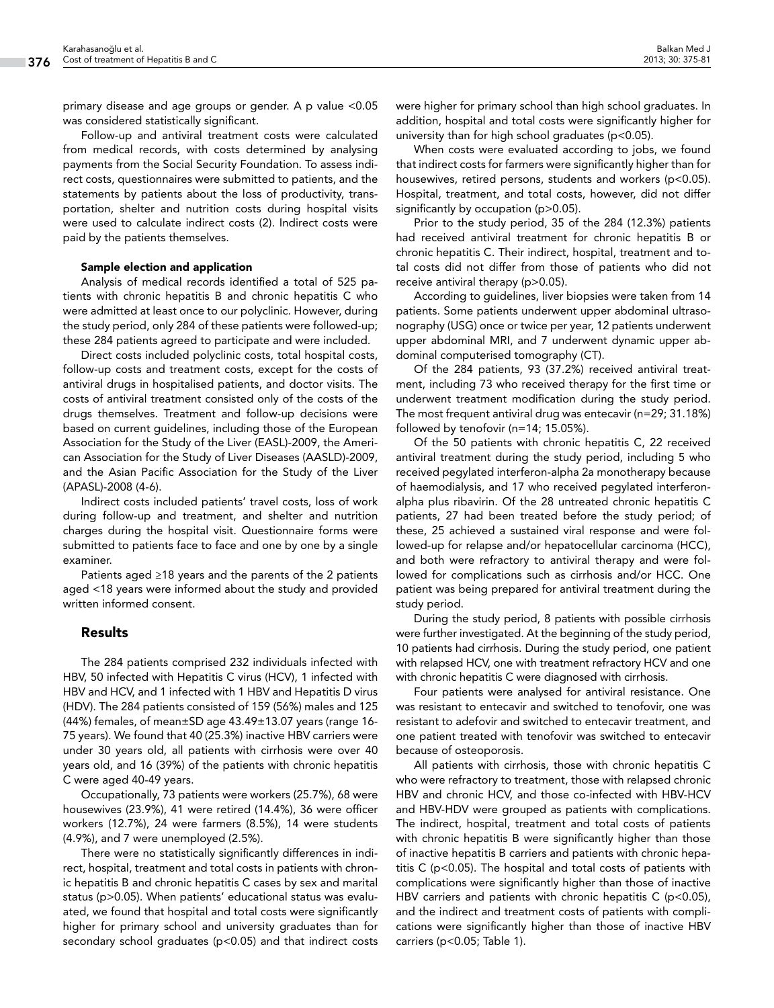primary disease and age groups or gender. A p value <0.05 was considered statistically significant.

Follow-up and antiviral treatment costs were calculated from medical records, with costs determined by analysing payments from the Social Security Foundation. To assess indirect costs, questionnaires were submitted to patients, and the statements by patients about the loss of productivity, transportation, shelter and nutrition costs during hospital visits were used to calculate indirect costs (2). Indirect costs were paid by the patients themselves.

#### Sample election and application

Analysis of medical records identified a total of 525 patients with chronic hepatitis B and chronic hepatitis C who were admitted at least once to our polyclinic. However, during the study period, only 284 of these patients were followed-up; these 284 patients agreed to participate and were included.

Direct costs included polyclinic costs, total hospital costs, follow-up costs and treatment costs, except for the costs of antiviral drugs in hospitalised patients, and doctor visits. The costs of antiviral treatment consisted only of the costs of the drugs themselves. Treatment and follow-up decisions were based on current guidelines, including those of the European Association for the Study of the Liver (EASL)-2009, the American Association for the Study of Liver Diseases (AASLD)-2009, and the Asian Pacific Association for the Study of the Liver (APASL)-2008 (4-6).

Indirect costs included patients' travel costs, loss of work during follow-up and treatment, and shelter and nutrition charges during the hospital visit. Questionnaire forms were submitted to patients face to face and one by one by a single examiner.

Patients aged ≥18 years and the parents of the 2 patients aged <18 years were informed about the study and provided written informed consent.

## Results

The 284 patients comprised 232 individuals infected with HBV, 50 infected with Hepatitis C virus (HCV), 1 infected with HBV and HCV, and 1 infected with 1 HBV and Hepatitis D virus (HDV). The 284 patients consisted of 159 (56%) males and 125 (44%) females, of mean±SD age 43.49±13.07 years (range 16- 75 years). We found that 40 (25.3%) inactive HBV carriers were under 30 years old, all patients with cirrhosis were over 40 years old, and 16 (39%) of the patients with chronic hepatitis C were aged 40-49 years.

Occupationally, 73 patients were workers (25.7%), 68 were housewives (23.9%), 41 were retired (14.4%), 36 were officer workers (12.7%), 24 were farmers (8.5%), 14 were students (4.9%), and 7 were unemployed (2.5%).

There were no statistically significantly differences in indirect, hospital, treatment and total costs in patients with chronic hepatitis B and chronic hepatitis C cases by sex and marital status (p>0.05). When patients' educational status was evaluated, we found that hospital and total costs were significantly higher for primary school and university graduates than for secondary school graduates (p<0.05) and that indirect costs

were higher for primary school than high school graduates. In addition, hospital and total costs were significantly higher for university than for high school graduates (p<0.05).

When costs were evaluated according to jobs, we found that indirect costs for farmers were significantly higher than for housewives, retired persons, students and workers (p<0.05). Hospital, treatment, and total costs, however, did not differ significantly by occupation (p>0.05).

Prior to the study period, 35 of the 284 (12.3%) patients had received antiviral treatment for chronic hepatitis B or chronic hepatitis C. Their indirect, hospital, treatment and total costs did not differ from those of patients who did not receive antiviral therapy (p>0.05).

According to guidelines, liver biopsies were taken from 14 patients. Some patients underwent upper abdominal ultrasonography (USG) once or twice per year, 12 patients underwent upper abdominal MRI, and 7 underwent dynamic upper abdominal computerised tomography (CT).

Of the 284 patients, 93 (37.2%) received antiviral treatment, including 73 who received therapy for the first time or underwent treatment modification during the study period. The most frequent antiviral drug was entecavir (n=29; 31.18%) followed by tenofovir (n=14; 15.05%).

Of the 50 patients with chronic hepatitis C, 22 received antiviral treatment during the study period, including 5 who received pegylated interferon-alpha 2a monotherapy because of haemodialysis, and 17 who received pegylated interferonalpha plus ribavirin. Of the 28 untreated chronic hepatitis C patients, 27 had been treated before the study period; of these, 25 achieved a sustained viral response and were followed-up for relapse and/or hepatocellular carcinoma (HCC), and both were refractory to antiviral therapy and were followed for complications such as cirrhosis and/or HCC. One patient was being prepared for antiviral treatment during the study period.

During the study period, 8 patients with possible cirrhosis were further investigated. At the beginning of the study period, 10 patients had cirrhosis. During the study period, one patient with relapsed HCV, one with treatment refractory HCV and one with chronic hepatitis C were diagnosed with cirrhosis.

Four patients were analysed for antiviral resistance. One was resistant to entecavir and switched to tenofovir, one was resistant to adefovir and switched to entecavir treatment, and one patient treated with tenofovir was switched to entecavir because of osteoporosis.

All patients with cirrhosis, those with chronic hepatitis C who were refractory to treatment, those with relapsed chronic HBV and chronic HCV, and those co-infected with HBV-HCV and HBV-HDV were grouped as patients with complications. The indirect, hospital, treatment and total costs of patients with chronic hepatitis B were significantly higher than those of inactive hepatitis B carriers and patients with chronic hepatitis C (p<0.05). The hospital and total costs of patients with complications were significantly higher than those of inactive HBV carriers and patients with chronic hepatitis C (p<0.05), and the indirect and treatment costs of patients with complications were significantly higher than those of inactive HBV carriers (p<0.05; Table 1).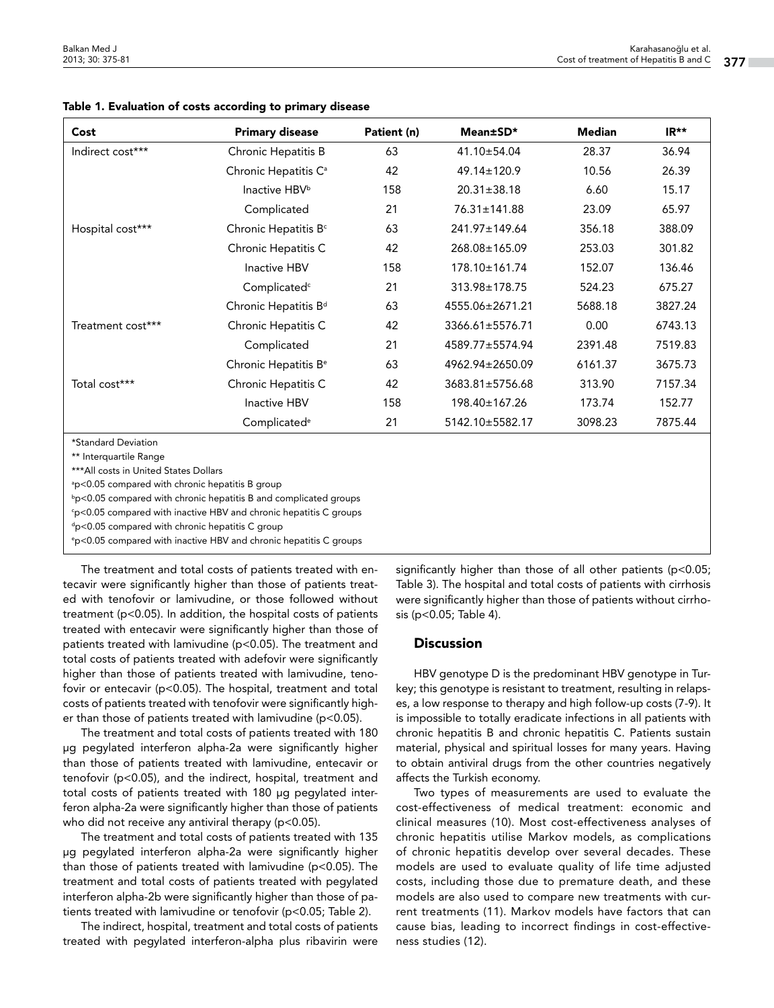|  | Table 1. Evaluation of costs according to primary disease |  |  |  |  |  |  |
|--|-----------------------------------------------------------|--|--|--|--|--|--|
|--|-----------------------------------------------------------|--|--|--|--|--|--|

| Cost                                                                                                                                                  | <b>Primary disease</b>           | Patient (n) | Mean±SD*          | <b>Median</b> | $IR**$  |
|-------------------------------------------------------------------------------------------------------------------------------------------------------|----------------------------------|-------------|-------------------|---------------|---------|
| Indirect cost***                                                                                                                                      | Chronic Hepatitis B              | 63          | 41.10±54.04       | 28.37         | 36.94   |
|                                                                                                                                                       | Chronic Hepatitis C <sup>a</sup> | 42          | 49.14±120.9       | 10.56         | 26.39   |
|                                                                                                                                                       | Inactive HBV <sup>b</sup>        | 158         | $20.31 \pm 38.18$ | 6.60          | 15.17   |
|                                                                                                                                                       | Complicated                      | 21          | 76.31±141.88      | 23.09         | 65.97   |
| Hospital cost***                                                                                                                                      | Chronic Hepatitis B <sup>c</sup> | 63          | 241.97±149.64     | 356.18        | 388.09  |
|                                                                                                                                                       | Chronic Hepatitis C              | 42          | 268.08±165.09     | 253.03        | 301.82  |
|                                                                                                                                                       | <b>Inactive HBV</b>              | 158         | 178.10±161.74     | 152.07        | 136.46  |
|                                                                                                                                                       | Complicated <sup>c</sup>         | 21          | 313.98±178.75     | 524.23        | 675.27  |
|                                                                                                                                                       | Chronic Hepatitis B <sup>d</sup> | 63          | 4555.06±2671.21   | 5688.18       | 3827.24 |
| Treatment cost***                                                                                                                                     | Chronic Hepatitis C              | 42          | 3366.61±5576.71   | 0.00          | 6743.13 |
|                                                                                                                                                       | Complicated                      | 21          | 4589.77±5574.94   | 2391.48       | 7519.83 |
|                                                                                                                                                       | Chronic Hepatitis B <sup>e</sup> | 63          | 4962.94±2650.09   | 6161.37       | 3675.73 |
| Total cost***                                                                                                                                         | Chronic Hepatitis C              | 42          | 3683.81±5756.68   | 313.90        | 7157.34 |
|                                                                                                                                                       | <b>Inactive HBV</b>              | 158         | 198.40±167.26     | 173.74        | 152.77  |
|                                                                                                                                                       | Complicated <sup>e</sup>         | 21          | 5142.10±5582.17   | 3098.23       | 7875.44 |
| *Standard Deviation<br>** Interquartile Range<br>***All costs in United States Dollars<br><sup>a</sup> p<0.05 compared with chronic hepatitis B group |                                  |             |                   |               |         |

bp<0.05 compared with chronic hepatitis B and complicated groups

 $\epsilon$ p<0.05 compared with inactive HBV and chronic hepatitis C groups

dp<0.05 compared with chronic hepatitis C group

e p<0.05 compared with inactive HBV and chronic hepatitis C groups

The treatment and total costs of patients treated with entecavir were significantly higher than those of patients treated with tenofovir or lamivudine, or those followed without treatment (p<0.05). In addition, the hospital costs of patients treated with entecavir were significantly higher than those of patients treated with lamivudine (p<0.05). The treatment and total costs of patients treated with adefovir were significantly higher than those of patients treated with lamivudine, tenofovir or entecavir (p<0.05). The hospital, treatment and total costs of patients treated with tenofovir were significantly higher than those of patients treated with lamivudine (p<0.05).

The treatment and total costs of patients treated with 180 μg pegylated interferon alpha-2a were significantly higher than those of patients treated with lamivudine, entecavir or tenofovir (p<0.05), and the indirect, hospital, treatment and total costs of patients treated with 180 μg pegylated interferon alpha-2a were significantly higher than those of patients who did not receive any antiviral therapy (p<0.05).

The treatment and total costs of patients treated with 135 μg pegylated interferon alpha-2a were significantly higher than those of patients treated with lamivudine (p<0.05). The treatment and total costs of patients treated with pegylated interferon alpha-2b were significantly higher than those of patients treated with lamivudine or tenofovir (p<0.05; Table 2).

The indirect, hospital, treatment and total costs of patients treated with pegylated interferon-alpha plus ribavirin were significantly higher than those of all other patients (p<0.05; Table 3). The hospital and total costs of patients with cirrhosis were significantly higher than those of patients without cirrhosis (p<0.05; Table 4).

## **Discussion**

HBV genotype D is the predominant HBV genotype in Turkey; this genotype is resistant to treatment, resulting in relapses, a low response to therapy and high follow-up costs (7-9). It is impossible to totally eradicate infections in all patients with chronic hepatitis B and chronic hepatitis C. Patients sustain material, physical and spiritual losses for many years. Having to obtain antiviral drugs from the other countries negatively affects the Turkish economy.

Two types of measurements are used to evaluate the cost-effectiveness of medical treatment: economic and clinical measures (10). Most cost-effectiveness analyses of chronic hepatitis utilise Markov models, as complications of chronic hepatitis develop over several decades. These models are used to evaluate quality of life time adjusted costs, including those due to premature death, and these models are also used to compare new treatments with current treatments (11). Markov models have factors that can cause bias, leading to incorrect findings in cost-effectiveness studies (12).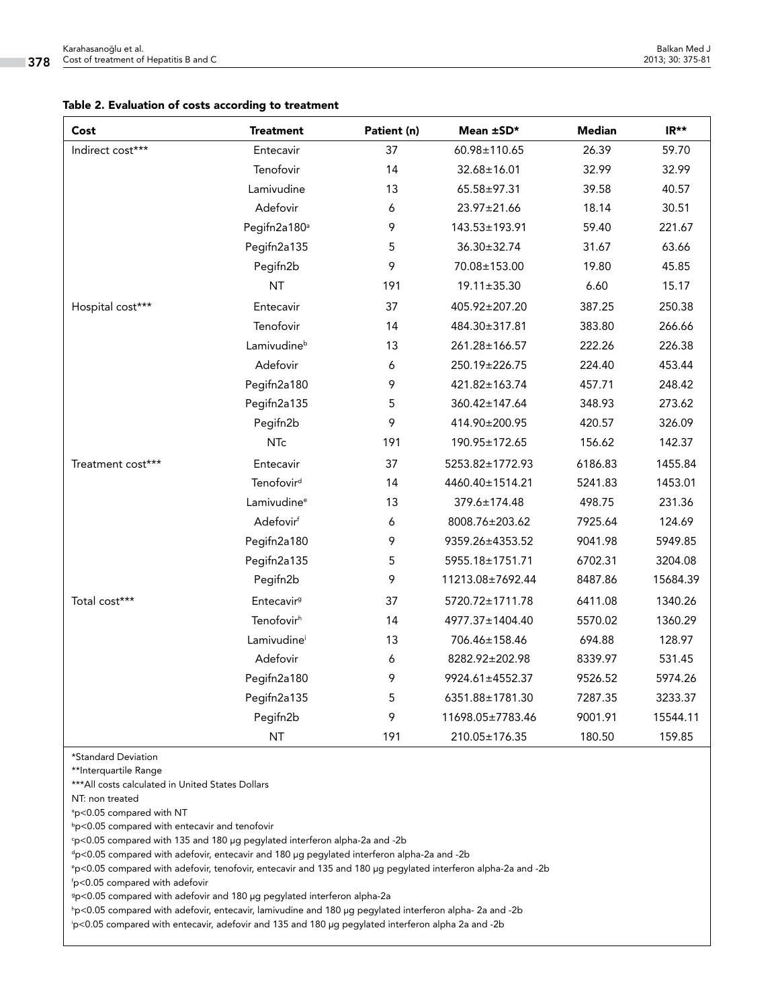#### Table 2. Evaluation of costs according to treatment

| Cost              | <b>Treatment</b>         | Patient (n) | Mean ±SD*        | <b>Median</b> | $IR**$   |
|-------------------|--------------------------|-------------|------------------|---------------|----------|
| Indirect cost***  | Entecavir                | 37          | 60.98±110.65     | 26.39         | 59.70    |
|                   | Tenofovir                | 14          | 32.68±16.01      | 32.99         | 32.99    |
|                   | Lamivudine               | 13          | 65.58±97.31      | 39.58         | 40.57    |
|                   | Adefovir                 | 6           | 23.97±21.66      | 18.14         | 30.51    |
|                   | Pegifn2a180 <sup>a</sup> | 9           | 143.53±193.91    | 59.40         | 221.67   |
|                   | Pegifn2a135              | 5           | 36.30±32.74      | 31.67         | 63.66    |
|                   | Pegifn2b                 | 9           | 70.08±153.00     | 19.80         | 45.85    |
|                   | <b>NT</b>                | 191         | 19.11±35.30      | 6.60          | 15.17    |
| Hospital cost***  | Entecavir                | 37          | 405.92±207.20    | 387.25        | 250.38   |
|                   | Tenofovir                | 14          | 484.30±317.81    | 383.80        | 266.66   |
|                   | Lamivudine <sup>b</sup>  | 13          | 261.28±166.57    | 222.26        | 226.38   |
|                   | Adefovir                 | 6           | 250.19±226.75    | 224.40        | 453.44   |
|                   | Pegifn2a180              | 9           | 421.82±163.74    | 457.71        | 248.42   |
|                   | Pegifn2a135              | 5           | 360.42±147.64    | 348.93        | 273.62   |
|                   | Pegifn2b                 | 9           | 414.90±200.95    | 420.57        | 326.09   |
|                   | <b>NTc</b>               | 191         | 190.95±172.65    | 156.62        | 142.37   |
| Treatment cost*** | Entecavir                | 37          | 5253.82±1772.93  | 6186.83       | 1455.84  |
|                   | Tenofovir <sup>d</sup>   | 14          | 4460.40±1514.21  | 5241.83       | 1453.01  |
|                   | Lamivudine <sup>e</sup>  | 13          | 379.6±174.48     | 498.75        | 231.36   |
|                   | Adefovirf                | 6           | 8008.76±203.62   | 7925.64       | 124.69   |
|                   | Pegifn2a180              | 9           | 9359.26±4353.52  | 9041.98       | 5949.85  |
|                   | Pegifn2a135              | 5           | 5955.18±1751.71  | 6702.31       | 3204.08  |
|                   | Pegifn2b                 | 9           | 11213.08±7692.44 | 8487.86       | 15684.39 |
| Total cost***     | Entecavir <sup>9</sup>   | 37          | 5720.72±1711.78  | 6411.08       | 1340.26  |
|                   | Tenofovir <sup>h</sup>   | 14          | 4977.37±1404.40  | 5570.02       | 1360.29  |
|                   | Lamivudinei              | 13          | 706.46±158.46    | 694.88        | 128.97   |
|                   | Adefovir                 | 6           | 8282.92±202.98   | 8339.97       | 531.45   |
|                   | Pegifn2a180              | 9           | 9924.61±4552.37  | 9526.52       | 5974.26  |
|                   | Pegifn2a135              | 5           | 6351.88±1781.30  | 7287.35       | 3233.37  |
|                   | Pegifn2b                 | 9           | 11698.05±7783.46 | 9001.91       | 15544.11 |
|                   | <b>NT</b>                | 191         | 210.05±176.35    | 180.50        | 159.85   |

\*Standard Deviation

\*\*Interquartile Range

\*\*\*All costs calculated in United States Dollars

NT: non treated

a p<0.05 compared with NT

bp<0.05 compared with entecavir and tenofovir

c p<0.05 compared with 135 and 180 μg pegylated interferon alpha-2a and -2b

dp<0.05 compared with adefovir, entecavir and 180 μg pegylated interferon alpha-2a and -2b

e p<0.05 compared with adefovir, tenofovir, entecavir and 135 and 180 μg pegylated interferon alpha-2a and -2b

f p<0.05 compared with adefovir

gp<0.05 compared with adefovir and 180 μg pegylated interferon alpha-2a

<sup>h</sup>p<0.05 compared with adefovir, entecavir, lamivudine and 180 μg pegylated interferon alpha- 2a and -2b

i p<0.05 compared with entecavir, adefovir and 135 and 180 μg pegylated interferon alpha 2a and -2b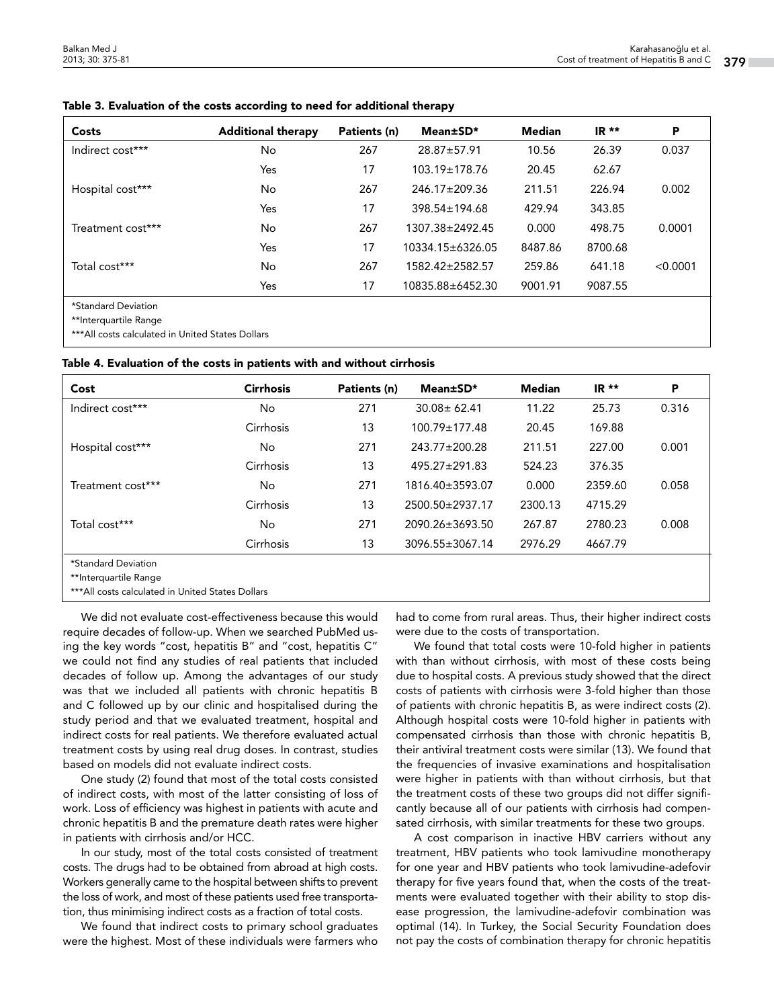| Table 3. Evaluation of the costs according to need for additional therapy |  |  |  |
|---------------------------------------------------------------------------|--|--|--|
|---------------------------------------------------------------------------|--|--|--|

| Costs                                | <b>Additional therapy</b> | Patients (n) | Mean±SD*          | Median  | $IR**$  | P        |
|--------------------------------------|---------------------------|--------------|-------------------|---------|---------|----------|
| Indirect cost***                     | No                        | 267          | $28.87 \pm 57.91$ | 10.56   | 26.39   | 0.037    |
|                                      | Yes                       | 17           | 103.19±178.76     | 20.45   | 62.67   |          |
| Hospital cost***                     | No                        | 267          | 246.17±209.36     | 211.51  | 226.94  | 0.002    |
|                                      | Yes                       | 17           | 398.54±194.68     | 429.94  | 343.85  |          |
| Treatment cost***                    | No                        | 267          | 1307.38±2492.45   | 0.000   | 498.75  | 0.0001   |
|                                      | Yes                       | 17           | 10334.15±6326.05  | 8487.86 | 8700.68 |          |
| Total cost***                        | No                        | 267          | 1582.42±2582.57   | 259.86  | 641.18  | < 0.0001 |
|                                      | Yes                       | 17           | 10835.88±6452.30  | 9001.91 | 9087.55 |          |
| $*c$ and denoted $D$ and a series of |                           |              |                   |         |         |          |

Standard Deviation

\*\*Interquartile Range

\*\*\*All costs calculated in United States Dollars

|  | Table 4. Evaluation of the costs in patients with and without cirrhosis |
|--|-------------------------------------------------------------------------|
|--|-------------------------------------------------------------------------|

| Cost              | <b>Cirrhosis</b> | Patients (n) | Mean±SD*            | <b>Median</b> | $IR**$  | P     |
|-------------------|------------------|--------------|---------------------|---------------|---------|-------|
| Indirect cost***  | No               | 271          | $30.08 \pm 62.41$   | 11.22         | 25.73   | 0.316 |
|                   | Cirrhosis        | 13           | $100.79 \pm 177.48$ | 20.45         | 169.88  |       |
| Hospital cost***  | No               | 271          | 243.77±200.28       | 211.51        | 227.00  | 0.001 |
|                   | Cirrhosis        | 13           | 495.27±291.83       | 524.23        | 376.35  |       |
| Treatment cost*** | No               | 271          | 1816.40±3593.07     | 0.000         | 2359.60 | 0.058 |
|                   | Cirrhosis        | 13           | 2500.50±2937.17     | 2300.13       | 4715.29 |       |
| Total cost***     | No               | 271          | 2090.26±3693.50     | 267.87        | 2780.23 | 0.008 |
|                   | Cirrhosis        | 13           | 3096.55±3067.14     | 2976.29       | 4667.79 |       |
| .                 |                  |              |                     |               |         |       |

\*Standard Deviation

\*\*Interquartile Range

\*\*\*All costs calculated in United States Dollars

We did not evaluate cost-effectiveness because this would require decades of follow-up. When we searched PubMed using the key words "cost, hepatitis B" and "cost, hepatitis C" we could not find any studies of real patients that included decades of follow up. Among the advantages of our study was that we included all patients with chronic hepatitis B and C followed up by our clinic and hospitalised during the study period and that we evaluated treatment, hospital and indirect costs for real patients. We therefore evaluated actual treatment costs by using real drug doses. In contrast, studies based on models did not evaluate indirect costs.

One study (2) found that most of the total costs consisted of indirect costs, with most of the latter consisting of loss of work. Loss of efficiency was highest in patients with acute and chronic hepatitis B and the premature death rates were higher in patients with cirrhosis and/or HCC.

In our study, most of the total costs consisted of treatment costs. The drugs had to be obtained from abroad at high costs. Workers generally came to the hospital between shifts to prevent the loss of work, and most of these patients used free transportation, thus minimising indirect costs as a fraction of total costs.

We found that indirect costs to primary school graduates were the highest. Most of these individuals were farmers who had to come from rural areas. Thus, their higher indirect costs were due to the costs of transportation.

We found that total costs were 10-fold higher in patients with than without cirrhosis, with most of these costs being due to hospital costs. A previous study showed that the direct costs of patients with cirrhosis were 3-fold higher than those of patients with chronic hepatitis B, as were indirect costs (2). Although hospital costs were 10-fold higher in patients with compensated cirrhosis than those with chronic hepatitis B, their antiviral treatment costs were similar (13). We found that the frequencies of invasive examinations and hospitalisation were higher in patients with than without cirrhosis, but that the treatment costs of these two groups did not differ significantly because all of our patients with cirrhosis had compensated cirrhosis, with similar treatments for these two groups.

A cost comparison in inactive HBV carriers without any treatment, HBV patients who took lamivudine monotherapy for one year and HBV patients who took lamivudine-adefovir therapy for five years found that, when the costs of the treatments were evaluated together with their ability to stop disease progression, the lamivudine-adefovir combination was optimal (14). In Turkey, the Social Security Foundation does not pay the costs of combination therapy for chronic hepatitis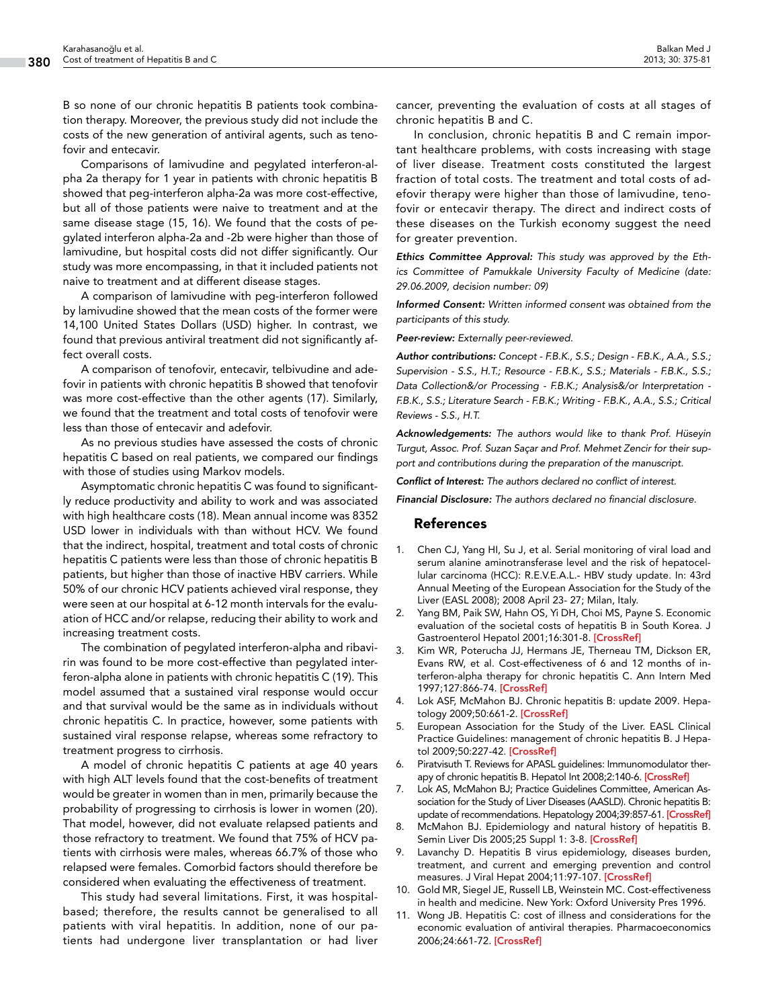B so none of our chronic hepatitis B patients took combination therapy. Moreover, the previous study did not include the costs of the new generation of antiviral agents, such as tenofovir and entecavir.

Comparisons of lamivudine and pegylated interferon-alpha 2a therapy for 1 year in patients with chronic hepatitis B showed that peg-interferon alpha-2a was more cost-effective, but all of those patients were naive to treatment and at the same disease stage (15, 16). We found that the costs of pegylated interferon alpha-2a and -2b were higher than those of lamivudine, but hospital costs did not differ significantly. Our study was more encompassing, in that it included patients not naive to treatment and at different disease stages.

A comparison of lamivudine with peg-interferon followed by lamivudine showed that the mean costs of the former were 14,100 United States Dollars (USD) higher. In contrast, we found that previous antiviral treatment did not significantly affect overall costs.

A comparison of tenofovir, entecavir, telbivudine and adefovir in patients with chronic hepatitis B showed that tenofovir was more cost-effective than the other agents (17). Similarly, we found that the treatment and total costs of tenofovir were less than those of entecavir and adefovir.

As no previous studies have assessed the costs of chronic hepatitis C based on real patients, we compared our findings with those of studies using Markov models.

Asymptomatic chronic hepatitis C was found to significantly reduce productivity and ability to work and was associated with high healthcare costs (18). Mean annual income was 8352 USD lower in individuals with than without HCV. We found that the indirect, hospital, treatment and total costs of chronic hepatitis C patients were less than those of chronic hepatitis B patients, but higher than those of inactive HBV carriers. While 50% of our chronic HCV patients achieved viral response, they were seen at our hospital at 6-12 month intervals for the evaluation of HCC and/or relapse, reducing their ability to work and increasing treatment costs.

The combination of pegylated interferon-alpha and ribavirin was found to be more cost-effective than pegylated interferon-alpha alone in patients with chronic hepatitis C (19). This model assumed that a sustained viral response would occur and that survival would be the same as in individuals without chronic hepatitis C. In practice, however, some patients with sustained viral response relapse, whereas some refractory to treatment progress to cirrhosis.

A model of chronic hepatitis C patients at age 40 years with high ALT levels found that the cost-benefits of treatment would be greater in women than in men, primarily because the probability of progressing to cirrhosis is lower in women (20). That model, however, did not evaluate relapsed patients and those refractory to treatment. We found that 75% of HCV patients with cirrhosis were males, whereas 66.7% of those who relapsed were females. Comorbid factors should therefore be considered when evaluating the effectiveness of treatment.

This study had several limitations. First, it was hospitalbased; therefore, the results cannot be generalised to all patients with viral hepatitis. In addition, none of our patients had undergone liver transplantation or had liver cancer, preventing the evaluation of costs at all stages of chronic hepatitis B and C.

In conclusion, chronic hepatitis B and C remain important healthcare problems, with costs increasing with stage of liver disease. Treatment costs constituted the largest fraction of total costs. The treatment and total costs of adefovir therapy were higher than those of lamivudine, tenofovir or entecavir therapy. The direct and indirect costs of these diseases on the Turkish economy suggest the need for greater prevention.

*Ethics Committee Approval: This study was approved by the Ethics Committee of Pamukkale University Faculty of Medicine (date: 29.06.2009, decision number: 09)*

*Informed Consent: Written informed consent was obtained from the participants of this study.*

*Peer-review: Externally peer-reviewed.*

*Author contributions: Concept - F.B.K., S.S.; Design - F.B.K., A.A., S.S.; Supervision - S.S., H.T.; Resource - F.B.K., S.S.; Materials - F.B.K., S.S.; Data Collection&/or Processing - F.B.K.; Analysis&/or Interpretation - F.B.K., S.S.; Literature Search - F.B.K.; Writing - F.B.K., A.A., S.S.; Critical Reviews - S.S., H.T.*

*Acknowledgements: The authors would like to thank Prof. Hüseyin Turgut, Assoc. Prof. Suzan Saçar and Prof. Mehmet Zencir for their support and contributions during the preparation of the manuscript.*

*Conflict of Interest: The authors declared no conflict of interest.*

*Financial Disclosure: The authors declared no financial disclosure.*

#### References

- 1. Chen CJ, Yang HI, Su J, et al. Serial monitoring of viral load and serum alanine aminotransferase level and the risk of hepatocellular carcinoma (HCC): R.E.V.E.A.L.- HBV study update. In: 43rd Annual Meeting of the European Association for the Study of the Liver (EASL 2008); 2008 April 23- 27; Milan, Italy.
- 2. Yang BM, Paik SW, Hahn OS, Yi DH, Choi MS, Payne S. Economic [evaluation of the societal costs of hepatitis B in South Korea. J](http://dx.doi.org/10.1046/j.1440-1746.2001.02443.x)  [Gastroenterol Hepatol 2001;16:301-8.](http://dx.doi.org/10.1046/j.1440-1746.2001.02443.x) [CrossRef]
- 3. Kim WR, Poterucha JJ, Hermans JE, Therneau TM, Dickson ER, Evans RW, et al. Cost-effectiveness of 6 and 12 months of interferon-alpha therapy for chronic hepatitis C. Ann Intern Med [1997;127:866-74.](http://dx.doi.org/10.7326/0003-4819-127-10-199711150-00002) [CrossRef]
- 4. Lok ASF, McMahon BJ. Chronic hepatitis B: update 2009. Hepa[tology 2009;50:661-2.](http://dx.doi.org/10.1002/hep.23190) [CrossRef]
- 5. European Association for the Study of the Liver. EASL Clinical Practice Guidelines: management of chronic hepatitis B. J Hepa[tol 2009;50:227-42.](http://dx.doi.org/10.1016/j.jhep.2008.10.001) [CrossRef]
- 6. Piratvisuth T. Reviews for APASL guidelines: Immunomodulator ther-apy of chronic hepatitis B. Hepatol Int [2008;2:140-6.](http://dx.doi.org/10.1007/s12072-008-9046-5) [CrossRef]
- 7. Lok AS, McMahon BJ; Practice Guidelines Committee, American Association for the Study of Liver Diseases (AASLD). Chronic hepatitis B: update of recommendations. Hepatolog[y 2004;39:857-61.](http://dx.doi.org/10.1002/hep.20110) [CrossRef]
- 8. McMahon BJ. Epidemiology and natural history of hepatitis B. [Semin Liver Dis 2005;25 Suppl 1: 3-8.](http://dx.doi.org/10.1055/s-2005-915644) [CrossRef]
- Lavanchy D. Hepatitis B virus epidemiology, diseases burden, treatment, and current and emerging prevention and control measures. J Viral Hepat [2004;11:97-107.](http://dx.doi.org/10.1046/j.1365-2893.2003.00487.x) [CrossRef]
- 10. Gold MR, Siegel JE, Russell LB, Weinstein MC. Cost-effectiveness in health and medicine. New York: Oxford University Pres 1996.
- 11. Wong JB. Hepatitis C: cost of illness and considerations for the economic evaluation of antiviral therapies. Pharmacoeconomics [2006;24:661-72.](http://dx.doi.org/10.2165/00019053-200624070-00005) [CrossRef]